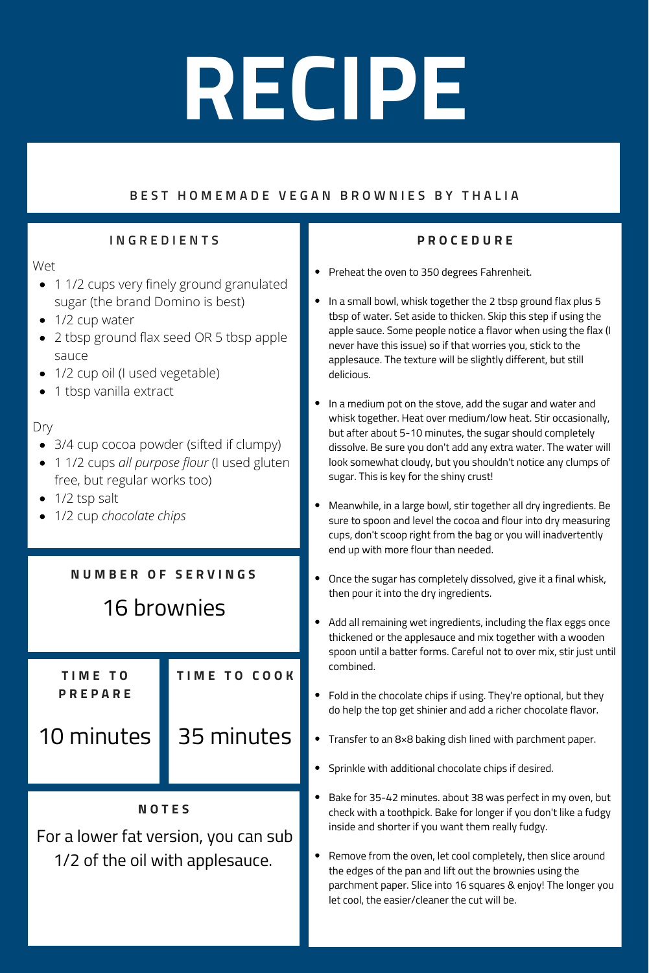### BEST HOMEMADE VEGAN BROWNIES BY THALIA

### **I N G R E D I E N T S**

Wet

- 1 1/2 cups very finely ground [granulated](https://amzn.to/3gLgetm) sugar (the brand Domino is best)
- 1/2 cup water
- 2 tbsp ground flax seed OR 5 tbsp apple sauce
- 1/2 cup oil (I used vegetable)
- 1 tbsp vanilla extract

### Dry

- 3/4 cup cocoa powder (sifted if clumpy)
- 1 1/2 cups *all [purpose](https://amzn.to/3gJGgxf) flour* (I used gluten free, but regular works too)
- $\bullet$  1/2 tsp salt
- 1/2 cup *[chocolate](https://amzn.to/2U1cs5w) chips*

### **N U M B E R O F S E R V I N G S**

### 16 brownies

**T I M E T O P R E P A R E**

10 minutes



**T I M E T O C O O K**

**N O T E S**

For a lower fat version, you can sub 1/2 of the oil with applesauce.

### **P R O C E D U R E**

- Preheat the oven to 350 degrees Fahrenheit.
- $\bullet$ In a small bowl, whisk together the 2 tbsp ground flax plus 5 tbsp of water. Set aside to thicken. Skip this step if using the apple sauce. Some people notice a flavor when using the flax (I never have this issue) so if that worries you, stick to the applesauce. The texture will be slightly different, but still delicious.
- $\bullet$ In a medium pot on the stove, add the sugar and water and whisk together. Heat over medium/low heat. Stir occasionally, but after about 5-10 minutes, the sugar should completely dissolve. Be sure you don't add any extra water. The water will look somewhat cloudy, but you shouldn't notice any clumps of sugar. This is key for the shiny crust!
- $\bullet$ Meanwhile, in a large bowl, stir together all dry ingredients. Be sure to spoon and level the cocoa and flour into dry measuring cups, don't scoop right from the bag or you will inadvertently end up with more flour than needed.
- $\bullet$ Once the sugar has completely dissolved, give it a final whisk, then pour it into the dry ingredients.
- $\bullet$ Add all remaining wet ingredients, including the flax eggs once thickened or the applesauce and mix together with a wooden spoon until a batter forms. Careful not to over mix, stir just until combined.
- Fold in the chocolate chips if using. They're optional, but they do help the top get shinier and add a richer chocolate flavor.
- $\bullet$ Transfer to an 8×8 baking dish lined with parchment paper.
- Sprinkle with additional chocolate chips if desired.  $\bullet$
- $\bullet$ Bake for 35-42 minutes. about 38 was perfect in my oven, but check with a toothpick. Bake for longer if you don't like a fudgy inside and shorter if you want them really fudgy.
- $\bullet$ Remove from the oven, let cool completely, then slice around the edges of the pan and lift out the brownies using the parchment paper. Slice into 16 squares & enjoy! The longer you let cool, the easier/cleaner the cut will be.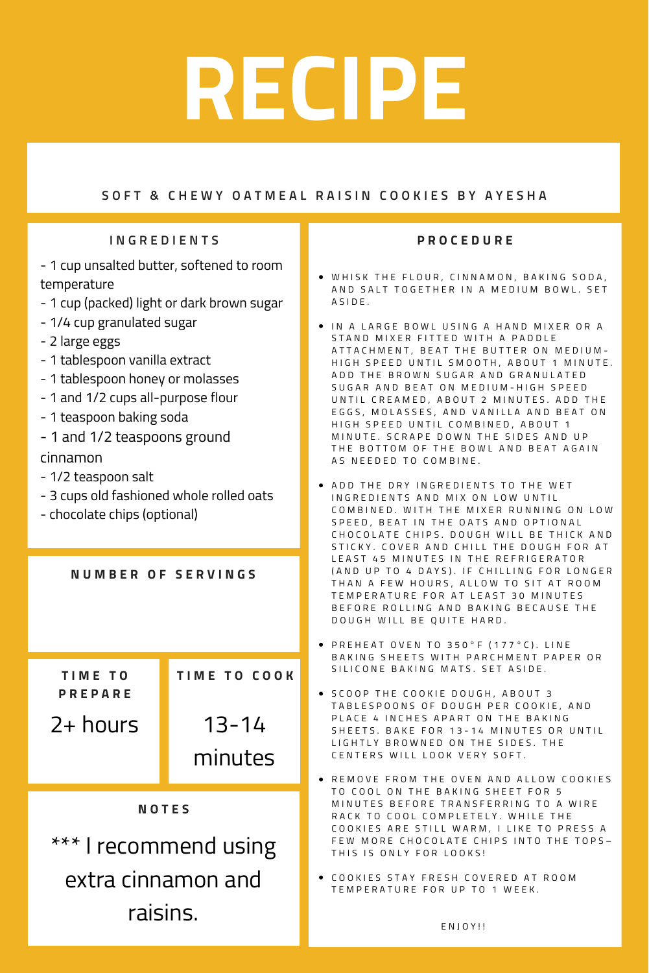### SOFT & CHEWY OATMEAL RAISIN COOKIES BY AYESHA

### **I N G R E D I E N T S**

- 1 cup unsalted butter, softened to room temperature
- 1 cup (packed) light or dark brown sugar
- 1/4 cup granulated sugar
- 2 large eggs
- 1 tablespoon vanilla extract
- 1 tablespoon honey or molasses
- 1 and 1/2 cups all-purpose flour
- 1 teaspoon baking soda
- 1 and 1/2 teaspoons ground cinnamon
- 1/2 teaspoon salt
- 3 cups old fashioned whole rolled oats
- chocolate chips (optional)

**N U M B E R O F S E R V I N G S**

**T I M E T O P R E P A R E**

2+ hours 13-14

minutes

**T I M E T O C O O K**

### **N O T E S**

\*\*\* I recommend using extra cinnamon and raisins.

#### **P R O C E D U R E**

- . WHISK THE FLOUR, CINNAMON, BAKING SODA, AND SALT TOGETHER IN A MEDIUM BOWL, SET A S I D E .
- $\bullet$  IN A LARGE BOWL USING A HAND MIXER OR A STAND MIXER FITTED WITH A PADDLE ATTACHMENT, BEAT THE BUTTER ON MEDIUM-HIGH SPEED UNTIL SMOOTH, ABOUT 1 MINUTE. ADD THE BROWN SUGAR AND GRANULATED SUGAR AND BEAT ON MEDIUM-HIGH SPEED UNTIL CREAMED, ABOUT 2 MINUTES. ADD THE EGGS, MOLASSES, AND VANILLA AND BEAT ON HIGH SPEED UNTIL COMBINED, ABOUT 1 MINUTE. SCRAPE DOWN THE SIDES AND UP THE BOTTOM OF THE BOWL AND BEAT AGAIN AS NEEDED TO COMBINE.
- $\bullet$  ADD THE DRY INGREDIENTS TO THE WET IN G R E D I E N T S A N D M I X ON LOW UNTIL COMBINED. WITH THE MIXER RUNNING ON LOW SPEED, BEAT IN THE OATS AND OPTIONAL CHOCOLATE CHIPS. DOUGH WILL BE THICK AND STICKY. COVER AND CHILL THE DOUGH FOR AT LEAST 45 MINUTES IN THE REFRIGERATOR (AND UP TO 4 DAYS). IF CHILLING FOR LONGER THAN A FEW HOURS, ALLOW TO SIT AT ROOM TEMPERATURE FOR AT LEAST 30 MINUTES BEFORE ROLLING AND BAKING BECAUSE THE DOUGH WILL BE QUITE HARD.
- PREHEAT OVEN TO 350°F (177°C). LINE BAKING SHEETS WITH PARCHMENT PAPER OR SILICONE BAKING MATS, SET ASIDE.
- $\bullet$  SCOOP THE COOKIE DOUGH, ABOUT 3 TABLESPOONS OF DOUGH PER COOKIE, AND PLACE 4 INCHES APART ON THE BAKING SHEETS. BAKE FOR 13-14 MINUTES OR UNTIL LIGHTLY BROWNED ON THE SIDES. THE CENTERS WILL LOOK VERY SOFT.
- **REMOVE FROM THE OVEN AND ALLOW COOKIES** TO COOL ON THE BAKING SHEET FOR 5 MINUTES BEFORE TRANSFERRING TO A WIRE RACK TO COOL COMPLETELY. WHILE THE COOKIES ARE STILL WARM, I LIKE TO PRESS A FEW MORE CHOCOLATE CHIPS INTO THE TOPS-THIS IS ONLY FOR LOOKS!
- $\bullet$  COOKIES STAY FRESH COVERED AT ROOM TEMPERATURE FOR UP TO 1 WEEK.

E N J O Y ! !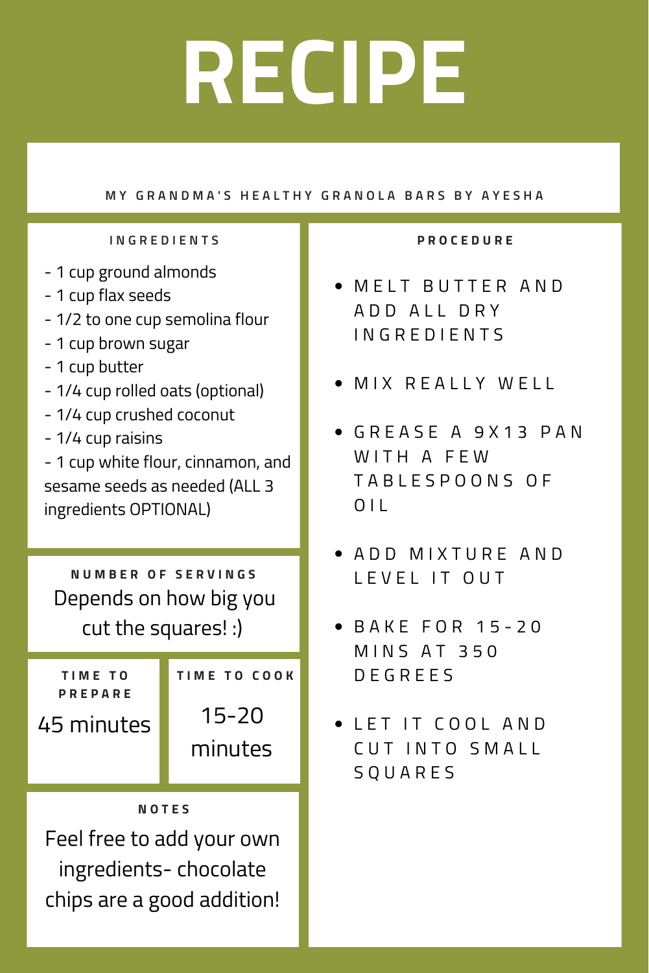### MY GRANDMA'S HEALTHY GRANOLA BARS BY AYESHA

### **I N G R E D I E N T S**

- 1 cup ground almonds
- 1 cup flax seeds
- 1/2 to one cup semolina flour
- 1 cup brown sugar
- 1 cup butter
- 1/4 cup rolled oats (optional)
- 1/4 cup crushed coconut
- 1/4 cup raisins
- 1 cup white flour, cinnamon, and sesame seeds as needed (ALL 3 ingredients OPTIONAL)

**N U M B E R O F S E R V I N G S** Depends on how big you cut the squares! :)

| TIME TO        | <b>TIME TO COOK</b> |  |
|----------------|---------------------|--|
| <b>PREPARE</b> |                     |  |
| 45 minutes     | $15 - 20$           |  |
|                | minutes             |  |
|                |                     |  |

### **N O T E S**

Feel free to add your own ingredients- chocolate chips are a good addition!

### **P R O C E D U R E**

- **MELT BUTTER AND** A D D A L L D R Y I N G R E D I E N T S
- **MIX REALLY WELL**
- GREASE A 9X13 PAN WITH A FFW T A B L E S P O O N S O F  $0<sup>1</sup>$
- **A D D M I X T U R F A N D** L E V E L IT OUT
- **BAKE FOR 15-20 MINS AT 350** D E G R E E S
- **.** LET IT COOL AND CUT INTO SMALL S Q U A R E S